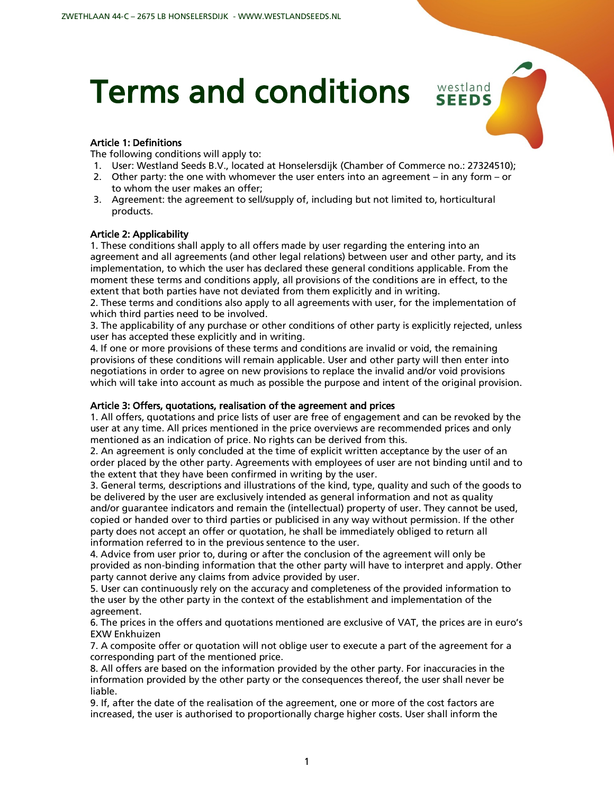# Terms and conditions

# Article 1: Definitions

The following conditions will apply to:

1. User: Westland Seeds B.V., located at Honselersdijk (Chamber of Commerce no.: 27324510);

westland **SEEDS** 

- 2. Other party: the one with whomever the user enters into an agreement in any form or to whom the user makes an offer;
- 3. Agreement: the agreement to sell/supply of, including but not limited to, horticultural products.

#### Article 2: Applicability

1. These conditions shall apply to all offers made by user regarding the entering into an agreement and all agreements (and other legal relations) between user and other party, and its implementation, to which the user has declared these general conditions applicable. From the moment these terms and conditions apply, all provisions of the conditions are in effect, to the extent that both parties have not deviated from them explicitly and in writing.

2. These terms and conditions also apply to all agreements with user, for the implementation of which third parties need to be involved.

3. The applicability of any purchase or other conditions of other party is explicitly rejected, unless user has accepted these explicitly and in writing.

4. If one or more provisions of these terms and conditions are invalid or void, the remaining provisions of these conditions will remain applicable. User and other party will then enter into negotiations in order to agree on new provisions to replace the invalid and/or void provisions which will take into account as much as possible the purpose and intent of the original provision.

# Article 3: Offers, quotations, realisation of the agreement and prices

1. All offers, quotations and price lists of user are free of engagement and can be revoked by the user at any time. All prices mentioned in the price overviews are recommended prices and only mentioned as an indication of price. No rights can be derived from this.

2. An agreement is only concluded at the time of explicit written acceptance by the user of an order placed by the other party. Agreements with employees of user are not binding until and to the extent that they have been confirmed in writing by the user.

3. General terms, descriptions and illustrations of the kind, type, quality and such of the goods to be delivered by the user are exclusively intended as general information and not as quality and/or guarantee indicators and remain the (intellectual) property of user. They cannot be used, copied or handed over to third parties or publicised in any way without permission. If the other party does not accept an offer or quotation, he shall be immediately obliged to return all information referred to in the previous sentence to the user.

4. Advice from user prior to, during or after the conclusion of the agreement will only be provided as non-binding information that the other party will have to interpret and apply. Other party cannot derive any claims from advice provided by user.

5. User can continuously rely on the accuracy and completeness of the provided information to the user by the other party in the context of the establishment and implementation of the agreement.

6. The prices in the offers and quotations mentioned are exclusive of VAT, the prices are in euro's EXW Enkhuizen

7. A composite offer or quotation will not oblige user to execute a part of the agreement for a corresponding part of the mentioned price.

8. All offers are based on the information provided by the other party. For inaccuracies in the information provided by the other party or the consequences thereof, the user shall never be liable.

9. If, after the date of the realisation of the agreement, one or more of the cost factors are increased, the user is authorised to proportionally charge higher costs. User shall inform the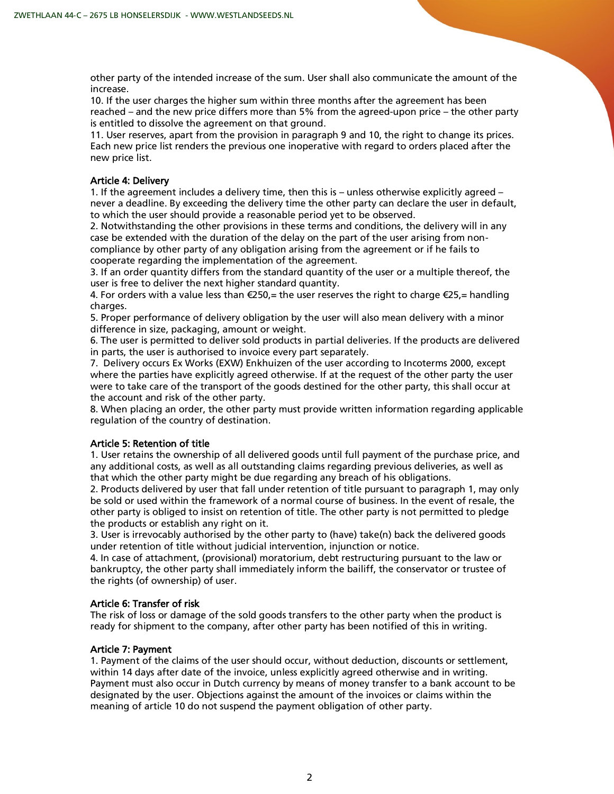other party of the intended increase of the sum. User shall also communicate the amount of the increase.

10. If the user charges the higher sum within three months after the agreement has been reached – and the new price differs more than 5% from the agreed-upon price – the other party is entitled to dissolve the agreement on that ground.

11. User reserves, apart from the provision in paragraph 9 and 10, the right to change its prices. Each new price list renders the previous one inoperative with regard to orders placed after the new price list.

# Article 4: Delivery

1. If the agreement includes a delivery time, then this is – unless otherwise explicitly agreed – never a deadline. By exceeding the delivery time the other party can declare the user in default, to which the user should provide a reasonable period yet to be observed.

2. Notwithstanding the other provisions in these terms and conditions, the delivery will in any case be extended with the duration of the delay on the part of the user arising from noncompliance by other party of any obligation arising from the agreement or if he fails to cooperate regarding the implementation of the agreement.

3. If an order quantity differs from the standard quantity of the user or a multiple thereof, the user is free to deliver the next higher standard quantity.

4. For orders with a value less than  $\epsilon$ 250,= the user reserves the right to charge  $\epsilon$ 25,= handling charges.

5. Proper performance of delivery obligation by the user will also mean delivery with a minor difference in size, packaging, amount or weight.

6. The user is permitted to deliver sold products in partial deliveries. If the products are delivered in parts, the user is authorised to invoice every part separately.

7. Delivery occurs Ex Works (EXW) Enkhuizen of the user according to Incoterms 2000, except where the parties have explicitly agreed otherwise. If at the request of the other party the user were to take care of the transport of the goods destined for the other party, this shall occur at the account and risk of the other party.

8. When placing an order, the other party must provide written information regarding applicable regulation of the country of destination.

# Article 5: Retention of title

1. User retains the ownership of all delivered goods until full payment of the purchase price, and any additional costs, as well as all outstanding claims regarding previous deliveries, as well as that which the other party might be due regarding any breach of his obligations.

2. Products delivered by user that fall under retention of title pursuant to paragraph 1, may only be sold or used within the framework of a normal course of business. In the event of resale, the other party is obliged to insist on retention of title. The other party is not permitted to pledge the products or establish any right on it.

3. User is irrevocably authorised by the other party to (have) take(n) back the delivered goods under retention of title without judicial intervention, injunction or notice.

4. In case of attachment, (provisional) moratorium, debt restructuring pursuant to the law or bankruptcy, the other party shall immediately inform the bailiff, the conservator or trustee of the rights (of ownership) of user.

# Article 6: Transfer of risk

The risk of loss or damage of the sold goods transfers to the other party when the product is ready for shipment to the company, after other party has been notified of this in writing.

# Article 7: Payment

1. Payment of the claims of the user should occur, without deduction, discounts or settlement, within 14 days after date of the invoice, unless explicitly agreed otherwise and in writing. Payment must also occur in Dutch currency by means of money transfer to a bank account to be designated by the user. Objections against the amount of the invoices or claims within the meaning of article 10 do not suspend the payment obligation of other party.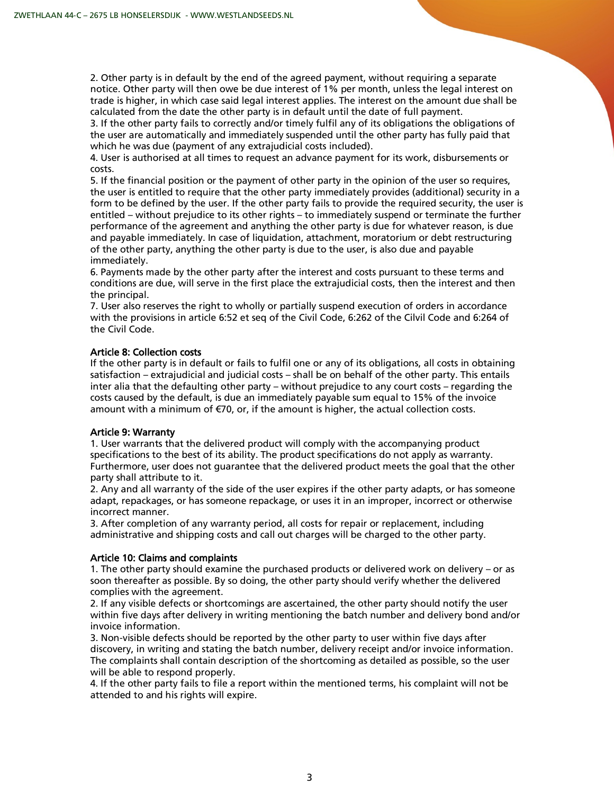2. Other party is in default by the end of the agreed payment, without requiring a separate notice. Other party will then owe be due interest of 1% per month, unless the legal interest on trade is higher, in which case said legal interest applies. The interest on the amount due shall be calculated from the date the other party is in default until the date of full payment.

3. If the other party fails to correctly and/or timely fulfil any of its obligations the obligations of the user are automatically and immediately suspended until the other party has fully paid that which he was due (payment of any extrajudicial costs included).

4. User is authorised at all times to request an advance payment for its work, disbursements or costs.

5. If the financial position or the payment of other party in the opinion of the user so requires, the user is entitled to require that the other party immediately provides (additional) security in a form to be defined by the user. If the other party fails to provide the required security, the user is entitled – without prejudice to its other rights – to immediately suspend or terminate the further performance of the agreement and anything the other party is due for whatever reason, is due and payable immediately. In case of liquidation, attachment, moratorium or debt restructuring of the other party, anything the other party is due to the user, is also due and payable immediately.

6. Payments made by the other party after the interest and costs pursuant to these terms and conditions are due, will serve in the first place the extrajudicial costs, then the interest and then the principal.

7. User also reserves the right to wholly or partially suspend execution of orders in accordance with the provisions in article 6:52 et seq of the Civil Code, 6:262 of the Cilvil Code and 6:264 of the Civil Code.

# Article 8: Collection costs

If the other party is in default or fails to fulfil one or any of its obligations, all costs in obtaining satisfaction – extrajudicial and judicial costs – shall be on behalf of the other party. This entails inter alia that the defaulting other party – without prejudice to any court costs – regarding the costs caused by the default, is due an immediately payable sum equal to 15% of the invoice amount with a minimum of €70, or, if the amount is higher, the actual collection costs.

# Article 9: Warranty

1. User warrants that the delivered product will comply with the accompanying product specifications to the best of its ability. The product specifications do not apply as warranty. Furthermore, user does not guarantee that the delivered product meets the goal that the other party shall attribute to it.

2. Any and all warranty of the side of the user expires if the other party adapts, or has someone adapt, repackages, or has someone repackage, or uses it in an improper, incorrect or otherwise incorrect manner.

3. After completion of any warranty period, all costs for repair or replacement, including administrative and shipping costs and call out charges will be charged to the other party.

# Article 10: Claims and complaints

1. The other party should examine the purchased products or delivered work on delivery – or as soon thereafter as possible. By so doing, the other party should verify whether the delivered complies with the agreement.

2. If any visible defects or shortcomings are ascertained, the other party should notify the user within five days after delivery in writing mentioning the batch number and delivery bond and/or invoice information.

3. Non-visible defects should be reported by the other party to user within five days after discovery, in writing and stating the batch number, delivery receipt and/or invoice information. The complaints shall contain description of the shortcoming as detailed as possible, so the user will be able to respond properly.

4. If the other party fails to file a report within the mentioned terms, his complaint will not be attended to and his rights will expire.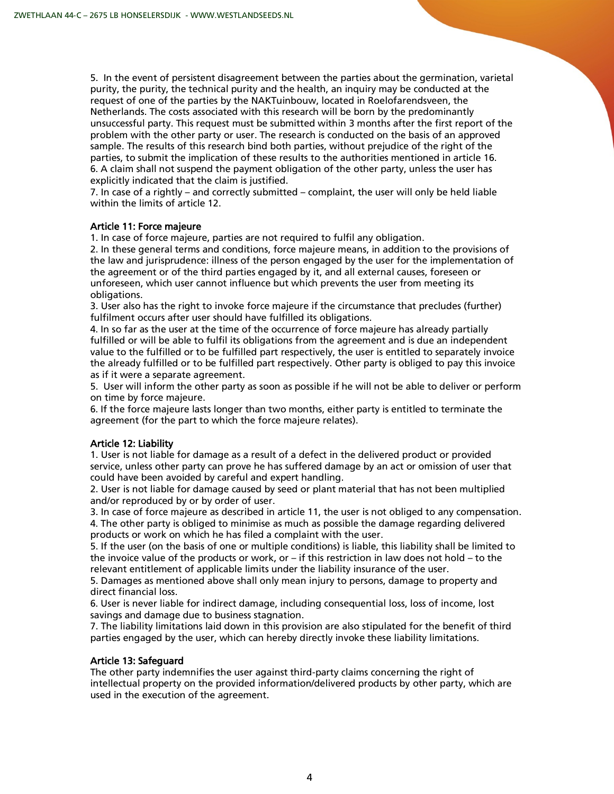5. In the event of persistent disagreement between the parties about the germination, varietal purity, the purity, the technical purity and the health, an inquiry may be conducted at the request of one of the parties by the NAKTuinbouw, located in Roelofarendsveen, the Netherlands. The costs associated with this research will be born by the predominantly unsuccessful party. This request must be submitted within 3 months after the first report of the problem with the other party or user. The research is conducted on the basis of an approved sample. The results of this research bind both parties, without prejudice of the right of the parties, to submit the implication of these results to the authorities mentioned in article 16. 6. A claim shall not suspend the payment obligation of the other party, unless the user has explicitly indicated that the claim is justified.

7. In case of a rightly – and correctly submitted – complaint, the user will only be held liable within the limits of article 12.

# Article 11: Force majeure

1. In case of force majeure, parties are not required to fulfil any obligation.

2. In these general terms and conditions, force majeure means, in addition to the provisions of the law and jurisprudence: illness of the person engaged by the user for the implementation of the agreement or of the third parties engaged by it, and all external causes, foreseen or unforeseen, which user cannot influence but which prevents the user from meeting its obligations.

3. User also has the right to invoke force majeure if the circumstance that precludes (further) fulfilment occurs after user should have fulfilled its obligations.

4. In so far as the user at the time of the occurrence of force majeure has already partially fulfilled or will be able to fulfil its obligations from the agreement and is due an independent value to the fulfilled or to be fulfilled part respectively, the user is entitled to separately invoice the already fulfilled or to be fulfilled part respectively. Other party is obliged to pay this invoice as if it were a separate agreement.

5. User will inform the other party as soon as possible if he will not be able to deliver or perform on time by force majeure.

6. If the force majeure lasts longer than two months, either party is entitled to terminate the agreement (for the part to which the force majeure relates).

#### Article 12: Liability

1. User is not liable for damage as a result of a defect in the delivered product or provided service, unless other party can prove he has suffered damage by an act or omission of user that could have been avoided by careful and expert handling.

2. User is not liable for damage caused by seed or plant material that has not been multiplied and/or reproduced by or by order of user.

3. In case of force majeure as described in article 11, the user is not obliged to any compensation. 4. The other party is obliged to minimise as much as possible the damage regarding delivered products or work on which he has filed a complaint with the user.

5. If the user (on the basis of one or multiple conditions) is liable, this liability shall be limited to the invoice value of the products or work, or – if this restriction in law does not hold – to the relevant entitlement of applicable limits under the liability insurance of the user.

5. Damages as mentioned above shall only mean injury to persons, damage to property and direct financial loss.

6. User is never liable for indirect damage, including consequential loss, loss of income, lost savings and damage due to business stagnation.

7. The liability limitations laid down in this provision are also stipulated for the benefit of third parties engaged by the user, which can hereby directly invoke these liability limitations.

#### Article 13: Safeguard

The other party indemnifies the user against third-party claims concerning the right of intellectual property on the provided information/delivered products by other party, which are used in the execution of the agreement.